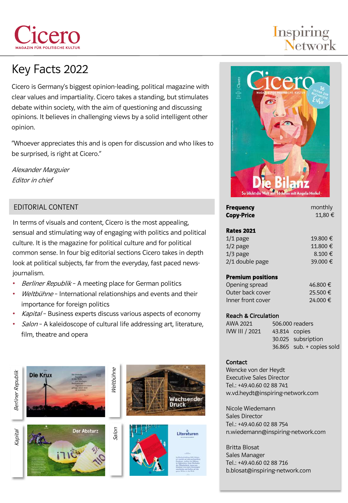# Key Facts 2022

er

Cicero is Germany's biggest opinion-leading, political magazine with clear values and impartiality. Cicero takes a standing, but stimulates debate within society, with the aim of questioning and discussing opinions. It believes in challenging views by a solid intelligent other opinion.

"Whoever appreciates this and is open for discussion and who likes to be surprised, is right at Cicero."

Alexander Marguier Editor in chief

## EDITORIAL CONTENT

In terms of visuals and content, Cicero is the most appealing, sensual and stimulating way of engaging with politics and political culture. It is the magazine for political culture and for political common sense. In four big editorial sections Cicero takes in depth look at political subjects, far from the everyday, fast paced newsjournalism.

- Berliner Republik A meeting place for German politics
- Weltbühne International relationships and events and their importance for foreign politics
- Kapital Business experts discuss various aspects of economy
- Salon A kaleidoscope of cultural life addressing art, literature, film, theatre and opera









# **Inspiring**<br>Network



| <b>Frequency</b><br><b>Copy-Price</b> | monthly<br>11,80 € |
|---------------------------------------|--------------------|
| <b>Rates 2021</b>                     |                    |
| $1/1$ page                            | 19.800 €           |
| $1/2$ page                            | 11.800 €           |
| $1/3$ page                            | 8.100€             |
| 2/1 double page                       | 39.000 €           |
| <b>Premium positions</b>              |                    |
| Opening spread                        | 46.800 €           |
| Outer hack cover                      | 2E EOPE            |

| Opering opticaal  | ovocio   |
|-------------------|----------|
| Outer back cover  | 25.500 € |
| Inner front cover | 24.000 € |

#### Reach & Circulation

| AWA 2021       | 506,000 readers           |
|----------------|---------------------------|
| IVW III / 2021 | 43.814 copies             |
|                | 30.025 subsription        |
|                | 36.865 sub. + copies sold |

#### **Contact**

Wencke von der Heydt Executive Sales Director Tel.: +49.40.60 02 88 741 w.vd.heydt@inspiring-network.com

Nicole Wiedemann Sales Director Tel.: +49.40.60 02 88 754 n.wiedemann@inspiring-network.com

Britta Blosat Sales Manager Tel.: +49.40.60 02 88 716 b.blosat@inspiring-network.com